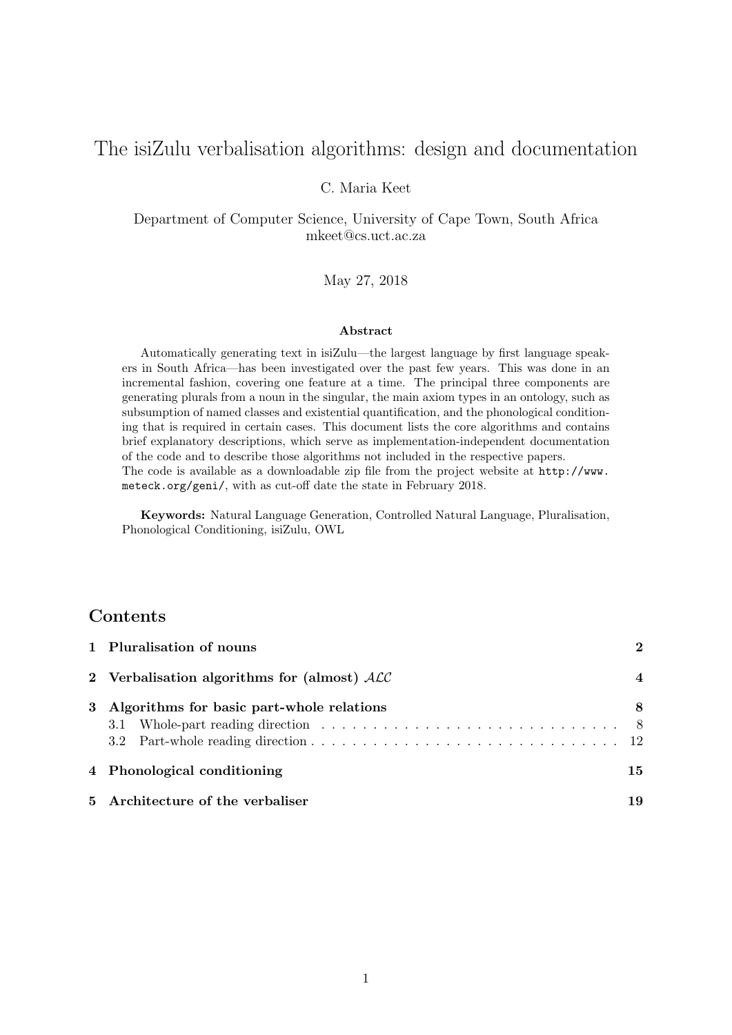# The isiZulu verbalisation algorithms: design and documentation

#### C. Maria Keet

Department of Computer Science, University of Cape Town, South Africa mkeet@cs.uct.ac.za

#### May 27, 2018

#### Abstract

Automatically generating text in isiZulu—the largest language by first language speakers in South Africa—has been investigated over the past few years. This was done in an incremental fashion, covering one feature at a time. The principal three components are generating plurals from a noun in the singular, the main axiom types in an ontology, such as subsumption of named classes and existential quantification, and the phonological conditioning that is required in certain cases. This document lists the core algorithms and contains brief explanatory descriptions, which serve as implementation-independent documentation of the code and to describe those algorithms not included in the respective papers. The code is available as a downloadable zip file from the project website at http://www. meteck.org/geni/, with as cut-off date the state in February 2018.

Keywords: Natural Language Generation, Controlled Natural Language, Pluralisation, Phonological Conditioning, isiZulu, OWL

## Contents

| 1 Pluralisation of nouns                      | $\mathcal{D}$    |
|-----------------------------------------------|------------------|
| 2 Verbalisation algorithms for (almost) $ALC$ | $\boldsymbol{4}$ |
| 3 Algorithms for basic part-whole relations   | 8                |
| 4 Phonological conditioning                   | 15               |
| 5 Architecture of the verbaliser              | 19               |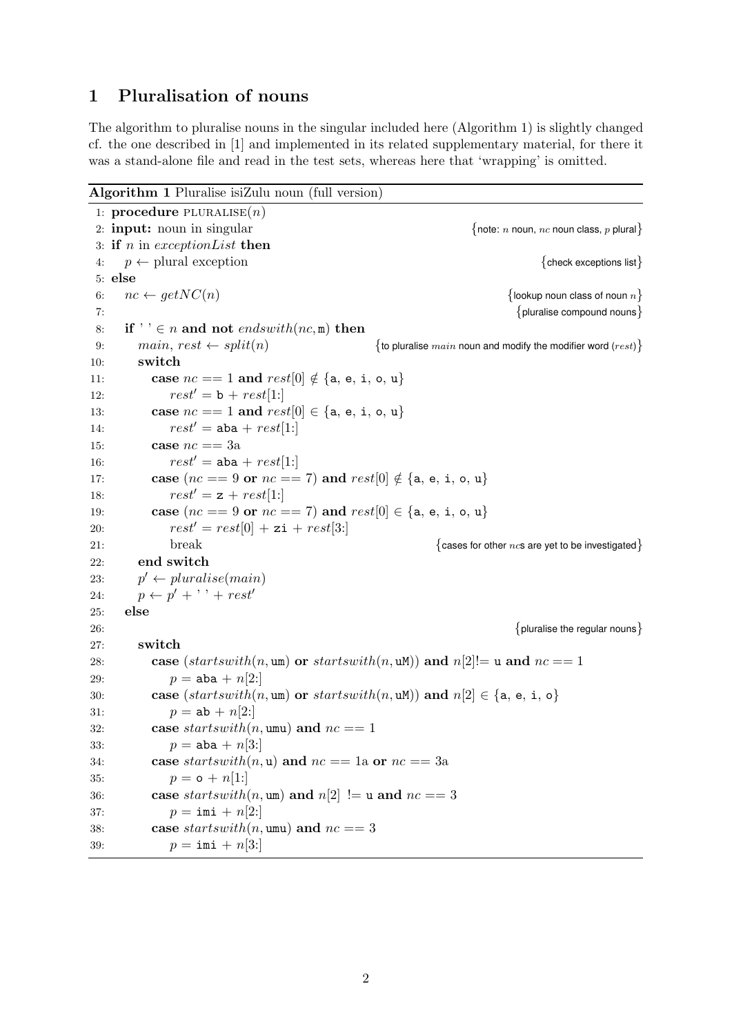## 1 Pluralisation of nouns

The algorithm to pluralise nouns in the singular included here (Algorithm 1) is slightly changed cf. the one described in [1] and implemented in its related supplementary material, for there it was a stand-alone file and read in the test sets, whereas here that 'wrapping' is omitted.

```
Algorithm 1 Pluralise isiZulu noun (full version)
1: procedure PLURALISE(n)2: input: noun in singular \{note: n noun, nc noun class, p plural
3: if n in exception List then
4: p \leftarrow plural exception \{ check exceptions list\}5: else
6: nc \leftarrow getNC(n) {lookup noun class of noun n}
T: \{ pluralise compound nouns \{ pluralise compound nouns \}8: if \mathcal{F} \in \mathbb{R} and not endswith \left(nc, m\right) then
9: main, rest \leftarrow split(n) {to pluralise main noun and modify the modifier word (rest)}
10: switch
11: case nc == 1 and rest[0] \notin \{a, e, i, o, u\}12: rest' = b + rest[1!]13: case nc == 1 and rest[0] \in \{a, e, i, o, u\}14: rest' = aba + rest[1:]15: case nc == 3a16: rest' = aba + rest[1!]17: case (nc == 9 \text{ or } nc == 7) and rest[0] \notin \{a, e, i, o, u\}18: rest' = z + rest[1:]19: case (nc == 9 \text{ or } nc == 7) and rest[0] \in \{a, e, i, o, u\}20: rest' = rest[0] + zi + rest[3!]21: break {21:}22: end switch
23:
      p' \leftarrow pluralise(main)24: p \leftarrow p' + \cdots + rest'25: else
26: \{ pluralise the regular nouns \}27: switch
28: case (startswith(n, um) or startswith(n, uM)) and n[2] = u and nc = 129: p = aba + n[2!]30: case (startswitch(n, \text{um}) \text{ or } startswith(n, \text{uM})) and n[2] \in \{a, e, i, o\}31: p = ab + n[2!]32: case startswith(n, \text{umu}) and nc == 133: p = aba + n[3!]34: case startswith(n, u) and nc == 1a or nc == 3a
35: p = o + n[1!]36: case startswith(n, \text{um}) and n[2]! = u and nc == 337: p = \text{imi} + n[2!]38: case startswith(n, umu) and nc == 339: p = \text{imi} + n[3!]
```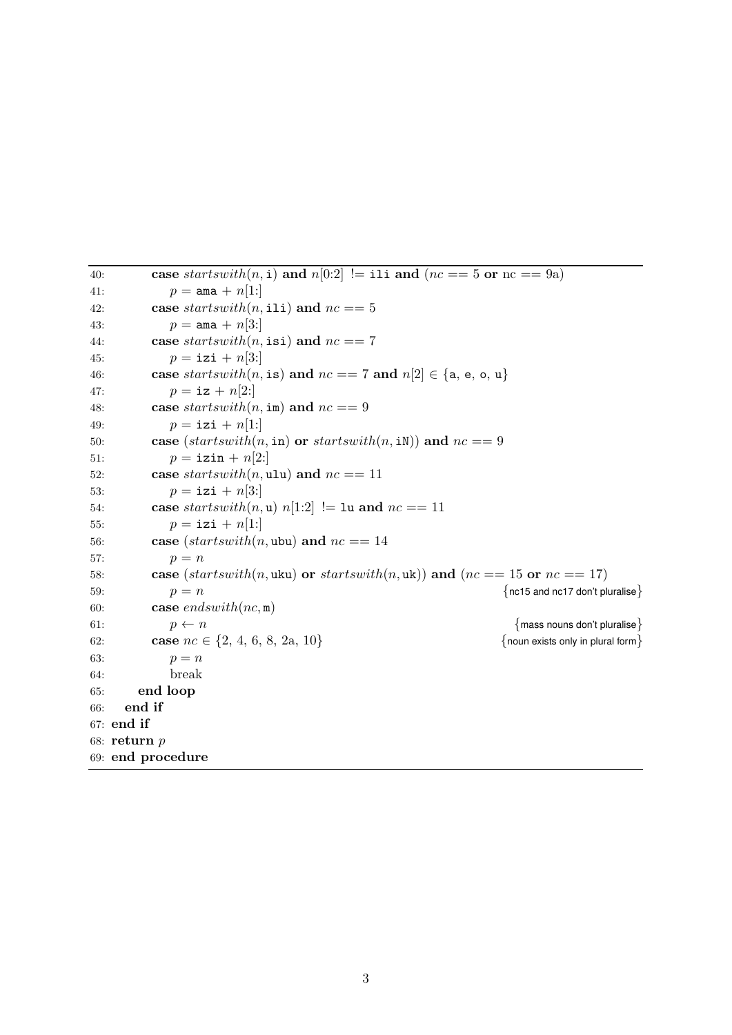```
40: case startswith(n, i) and n[0:2]! = ili and (nc == 5 or nc == 9a)41: p = \text{ama} + n[1!]42: case startswith(n, \text{ili}) and nc == 543: p = \text{ama} + n[3!]44: case startswith(n, \text{isi}) and nc == 745: p = i \text{zi} + n[3!]46: case startswith(n, is) and nc == 7 and n[2] \in \{a, e, o, u\}47: p = i\mathbf{z} + n[2!]48: case startswith(n, \text{im}) and nc == 949: p = izi + n[1:]50: case (startswith(n, in) or startswith(n, in) and nc == 951: p = i \text{zin} + n[2!]52: case starts with (n, \text{ulu}) and nc == 1153: p = i \text{zi} + n[3!]54: case startswith(n, u) n[1:2] != 1u and nc == 1155: p = i \text{zi} + n[1!]56: case (s \text{tart} s \text{with} (n, \text{ubu}) and nc == 1457: p = n58: case (startswith(n, uku) or startswith(n, uk)) and (nc == 15 or nc = 17)
59: p = n {nc15 and nc17 don't pluralise}
60: case endswith(nc, m)61: p \leftarrow n {mass nouns don't pluralise}
62: case nc \in \{2, 4, 6, 8, 2a, 10\} {noun exists only in plural form}
63: p = n64: break
65: end loop
66: end if
67: end if
68: return p
69: end procedure
```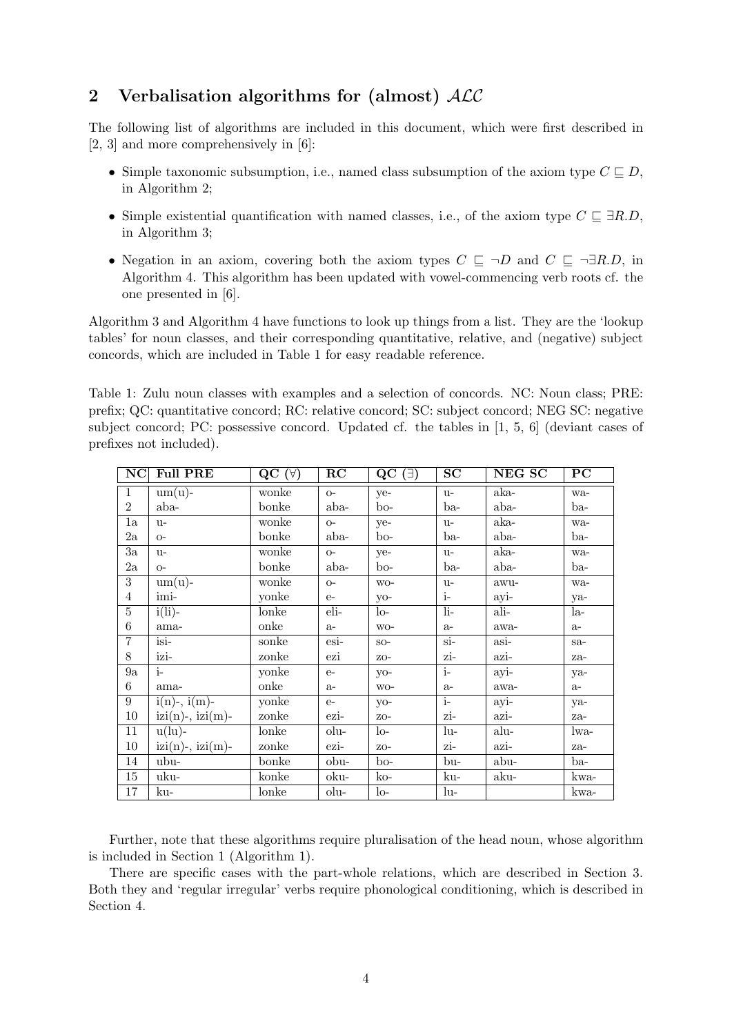## 2 Verbalisation algorithms for (almost)  $ALC$

The following list of algorithms are included in this document, which were first described in [2, 3] and more comprehensively in [6]:

- Simple taxonomic subsumption, i.e., named class subsumption of the axiom type  $C \sqsubseteq D$ , in Algorithm 2;
- Simple existential quantification with named classes, i.e., of the axiom type  $C \subseteq \exists R.D$ , in Algorithm 3;
- Negation in an axiom, covering both the axiom types  $C \subseteq \neg D$  and  $C \subseteq \neg \exists R.D$ , in Algorithm 4. This algorithm has been updated with vowel-commencing verb roots cf. the one presented in [6].

Algorithm 3 and Algorithm 4 have functions to look up things from a list. They are the 'lookup tables' for noun classes, and their corresponding quantitative, relative, and (negative) subject concords, which are included in Table 1 for easy readable reference.

Table 1: Zulu noun classes with examples and a selection of concords. NC: Noun class; PRE: prefix; QC: quantitative concord; RC: relative concord; SC: subject concord; NEG SC: negative subject concord; PC: possessive concord. Updated cf. the tables in [1, 5, 6] (deviant cases of prefixes not included).

| NC             | <b>Full PRE</b>                      | $QC(\forall)$ | RC   | $QC$ ( $\exists$ ) | SC     | NEG SC | $_{PC}$ |
|----------------|--------------------------------------|---------------|------|--------------------|--------|--------|---------|
| $\mathbf{1}$   | $um(u)$ -                            | wonke         | $O-$ | ye-                | $u-$   | aka-   | wa-     |
| $\overline{2}$ | aba-                                 | bonke         | aba- | $b$ o-             | ba-    | aba-   | ba-     |
| 1a             | $u-$                                 | wonke         | $O-$ | ye-                | $u-$   | aka-   | wa-     |
| $2\mathrm{a}$  | $O-$                                 | bonke         | aba- | $b^{\rm o-}$       | ba-    | aba-   | ba-     |
| 3a             | $u-$                                 | wonke         | $O-$ | ye-                | $u-$   | aka-   | wa-     |
| $2\mathrm{a}$  | $O-$                                 | bonke         | aba- | bo-                | ba-    | aba-   | ba-     |
| 3              | $um(u)$ -                            | wonke         | $O-$ | WO-                | $u-$   | awu-   | wa-     |
| $\overline{4}$ | imi-                                 | yonke         | $e-$ | $yo-$              | $i-$   | ayi-   | ya-     |
| $\overline{5}$ | $i(li)$ -                            | lonke         | eli- | $\log$             | $li-$  | ali-   | la-     |
| 6              | ama-                                 | onke          | $a-$ | $WO-$              | $a-$   | awa-   | $a-$    |
| $\overline{7}$ | $isi-$                               | sonke         | esi- | $SO-$              | $\sin$ | asi-   | $sa-$   |
| 8              | izi-                                 | zonke         | ezi  | $ZO-$              | zi-    | azi-   | za-     |
| 9a             | $i-$                                 | yonke         | $e-$ | $VO-$              | $i-$   | ayi-   | ya-     |
| 6              | ama-                                 | onke          | $a-$ | WO-                | $a-$   | awa-   | $a-$    |
| 9              | $\overline{i(n)}$ -, $i(m)$ -        | yonke         | $e-$ | $yo-$              | $i-$   | ayi-   | ya-     |
| 10             | $\text{izi}(n)$ -, $\text{izi}(m)$ - | zonke         | ezi- | $ZO-$              | zi-    | azi-   | za-     |
| 11             | $u(lu)$ -                            | lonke         | olu- | $10-$              | lu-    | alu-   | lwa-    |
| 10             | $\text{izi}(n)$ -, $\text{izi}(m)$ - | zonke         | ezi- | $ZO-$              | zi-    | azi-   | za-     |
| 14             | ubu-                                 | bonke         | obu- | $b^{\rm o-}$       | bu-    | abu-   | ba-     |
| 15             | uku-                                 | konke         | oku- | $ko-$              | ku-    | aku-   | kwa-    |
| 17             | ku-                                  | lonke         | olu- | $10-$              | lu-    |        | kwa-    |

Further, note that these algorithms require pluralisation of the head noun, whose algorithm is included in Section 1 (Algorithm 1).

There are specific cases with the part-whole relations, which are described in Section 3. Both they and 'regular irregular' verbs require phonological conditioning, which is described in Section 4.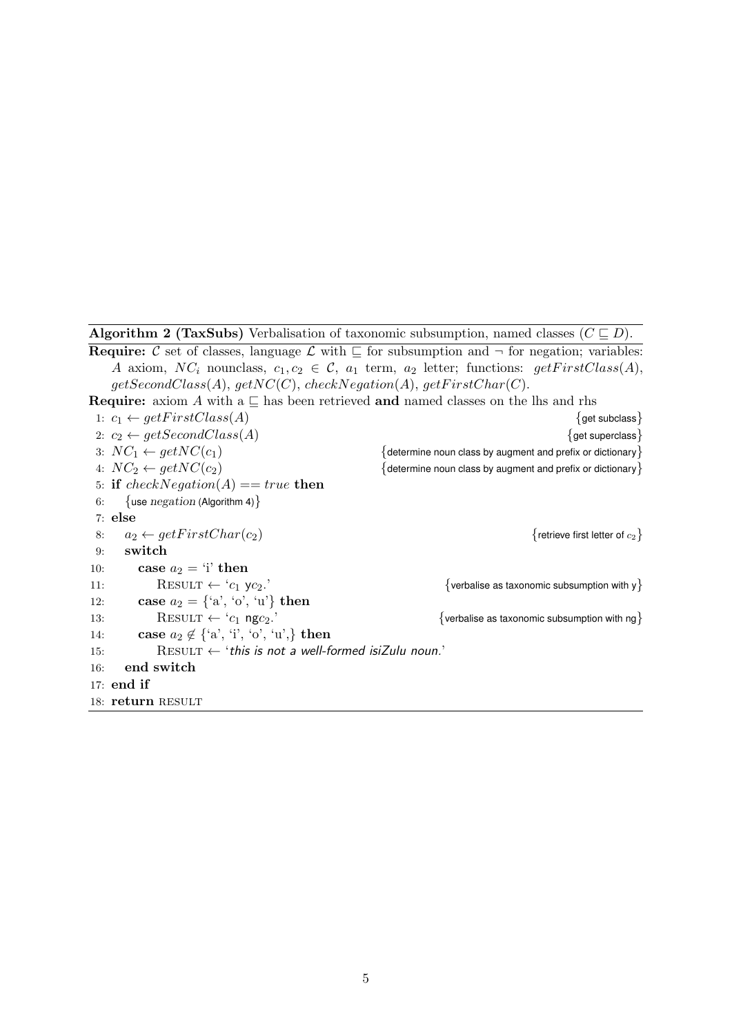Algorithm 2 (TaxSubs) Verbalisation of taxonomic subsumption, named classes  $(C \sqsubseteq D)$ .

**Require:** C set of classes, language  $\mathcal{L}$  with  $\mathcal{L}$  for subsumption and  $\neg$  for negation; variables: A axiom,  $NC_i$  nounclass,  $c_1, c_2 \in \mathcal{C}$ ,  $a_1$  term,  $a_2$  letter; functions:  $getFirstClass(A)$ ,  $getSecondClass(A), getNC(C), checkNegation(A), getFirstChar(C).$ 

**Require:** axiom A with a  $\subseteq$  has been retrieved and named classes on the lhs and rhs

1:  $c_1 \leftarrow getFirstClass(A)$  {get subclass} 2:  $c_2 \leftarrow getSecondClass(A)$  {get superclass} 3:  $NC_1 \leftarrow getNC(c_1)$  {determine noun class by augment and prefix or dictionary} 4:  $NC_2 \leftarrow getNC(c_2)$  {determine noun class by augment and prefix or dictionary} 5: if  $checkNegation(A) == true$  then 6: {use  $negation$  (Algorithm 4)} 7: else 8:  $a_2 \leftarrow getFirstChar(c_2)$  {retrieve first letter of  $c_2$ } 9: switch 10: case  $a_2 = \mathbf{i}'$  then 11: RESULT  $\leftarrow 'c_1 \text{ y}c_2$ . {verbalise as taxonomic subsumption with y} 12: case  $a_2 = \{a', b', u'\}$  then 13: RESULT ← 'c<sub>1</sub> ngc<sub>2</sub>.'  $\{$  verbalise as taxonomic subsumption with ng 14: case  $a_2 \notin \{a', i', \overrightarrow{0'}, u'\}$  then 15: RESULT  $\leftarrow$  'this is not a well-formed isiZulu noun.' 16: end switch 17: end if 18: return RESULT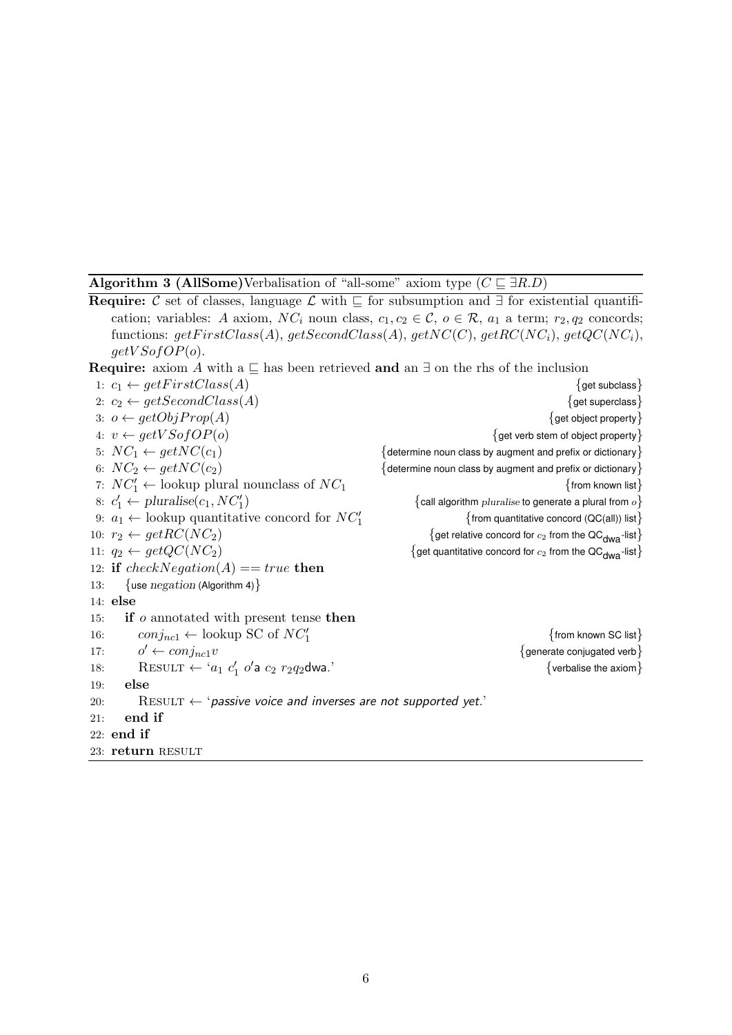Algorithm 3 (AllSome)Verbalisation of "all-some" axiom type  $(C \sqsubseteq \exists R.D)$ 

Require: C set of classes, language  $\mathcal L$  with  $\subseteq$  for subsumption and ∃ for existential quantification; variables: A axiom,  $NC_i$  noun class,  $c_1, c_2 \in \mathcal{C}$ ,  $o \in \mathcal{R}$ ,  $a_1$  a term;  $r_2, q_2$  concords; functions:  $getFirstClass(A), getSecondClass(A), getNC(C), getRC(NC_i), getQC(NC_i),$  $getV\text{SofOP}(o)$ . Require: axiom A with a  $\subseteq$  has been retrieved and an  $\exists$  on the rhs of the inclusion 1:  $c_1 \leftarrow getFirstClass(A)$  {get subclass} 2:  $c_2 \leftarrow getSecondClass(A)$  {get superclass} 3:  $o \leftarrow getObjProp(A)$  {get object property} 4:  $v \leftarrow getVSofOP(o)$  {get verb stem of object property}  $5: NC_1 \leftarrow getNC(c_1)$  {determine noun class by augment and prefix or dictionary} 6:  $NC_2 \leftarrow getNC(c_2)$  {determine noun class by augment and prefix or dictionary} 7:  $NC'_1 \leftarrow$  lookup plural nounclass of  $NC_1$  {from known list} 8:  $c'_1 \leftarrow \text{pluralise}(c_1, NC'_1)$  $\{$  call algorithm  $pluralise$  to generate a plural from  $o\}$ 9:  $a_1 \leftarrow$  lookup quantitative concord for  $NC'_1$  $\{$  from quantitative concord (QC(all)) list $\}$ 10:  $r_2 \leftarrow getRC(NC_2)$  {get relative concord for  $c_2$  from the QC<sub>dwa</sub>-list} 11:  $q_2 \leftarrow getQC(NC_2)$  {get quantitative concord for  $c_2$  from the QC<sub>dwa</sub>-list} 12: if checkNegation(A) == true then 13: {use negation (Algorithm 4)} 14: else 15: if o annotated with present tense then 16:  $\text{conj}_{nc1} \leftarrow \text{lookup SC of } NC'_1$ {from known SC list} 17:  $o' \leftarrow conj_{nc1} v$  $\{$  generate conjugated verb $\}$ 18: RESULT  $\leftarrow$  ' $a_1$   $c'_1$  o'  $\{$  verbalise the axiom $\}$ 19: else 20: RESULT  $\leftarrow$  'passive voice and inverses are not supported yet.' 21: end if 22: end if 23: return RESULT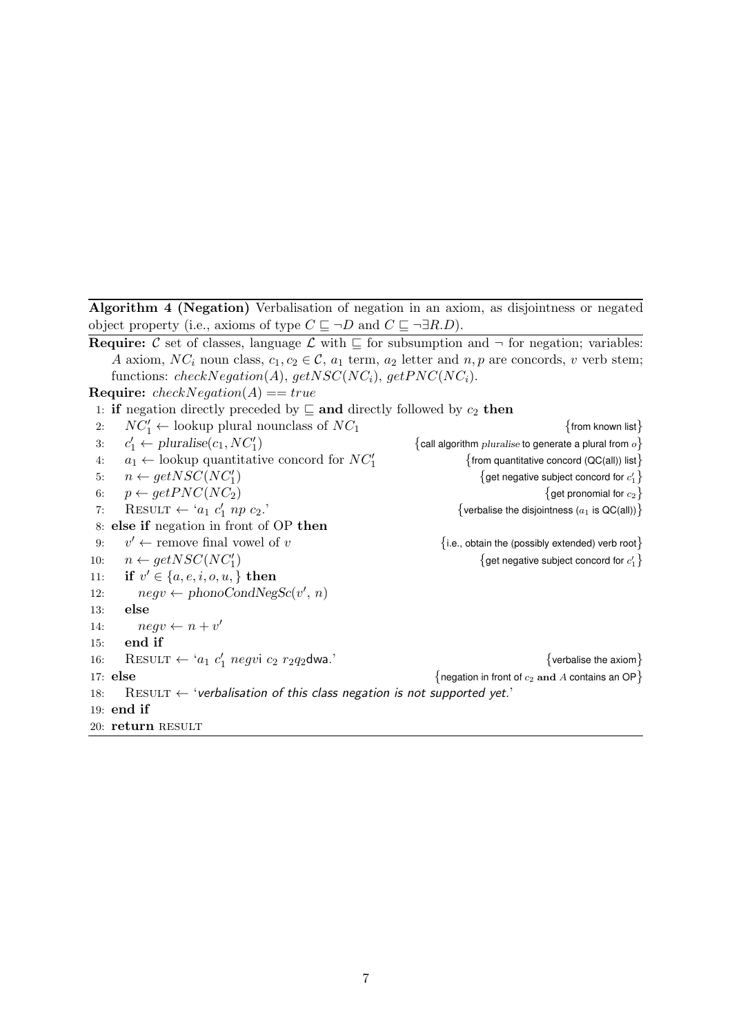Algorithm 4 (Negation) Verbalisation of negation in an axiom, as disjointness or negated object property (i.e., axioms of type  $C \sqsubseteq \neg D$  and  $C \sqsubseteq \neg \exists R.D$ ).

**Require:** C set of classes, language  $\mathcal{L}$  with  $\mathcal{L}$  for subsumption and  $\neg$  for negation; variables: A axiom,  $NC_i$  noun class,  $c_1, c_2 \in \mathcal{C}$ ,  $a_1$  term,  $a_2$  letter and  $n, p$  are concords, v verb stem; functions: checkNegation(A), getNSC(NC<sub>i</sub>), getPNC(NC<sub>i</sub>). **Require:**  $checkNegation(A) == true$ 1: if negation directly preceded by  $\subseteq$  and directly followed by  $c_2$  then 2:  $NC'_1 \leftarrow$  lookup plural nounclass of  $NC_1$  {from known list} 3: c  $C'_1 \leftarrow \text{pluralise}(c_1, NC'_1)$  $\{$  call algorithm *pluralise* to generate a plural from  $o\}$ 4:  $a_1 \leftarrow \text{lookup quantitative concord for } NC'_1$  $\{$  from quantitative concord (QC(all)) list $\}$ 5:  $n \leftarrow getNSC(NC_1')$ ) and  $\{$  get negative subject concord for  $c_1'\}$ 6:  $p \leftarrow getPNC(NC_2)$  {get pronomial for  $c_2$ } 7: RESULT  $\leftarrow$  'a<sub>1</sub> c' {verbalise the disjointness ( $a_1$  is QC(all))} 8: else if negation in front of OP then 9:  $v' \leftarrow$  remove final vowel of v  ${i.e.,}$  obtain the (possibly extended) verb root $}$ 10:  $n \leftarrow getNSC(NC_1')$ ) and  $\{$  get negative subject concord for  $c_1'\}$ 11: if  $v' \in \{a, e, i, o, u, \}$  then 12:  $negv \leftarrow phonoCondNegSc(v', n)$ 13: else 14:  $negv \leftarrow n+v'$ 15: end if 16: RESULT ← 'a<sub>1</sub> c'<sub>1</sub> negvi c<sub>2</sub> r<sub>2</sub>q<sub>2</sub>dwa.' {verbalise the axiom} 17: else  ${1 \times 12^n}$   ${negation in front of  $c_2$  and A contains an OP}$ 18: RESULT  $\leftarrow$  'verbalisation of this class negation is not supported yet.' 19: end if 20: return RESULT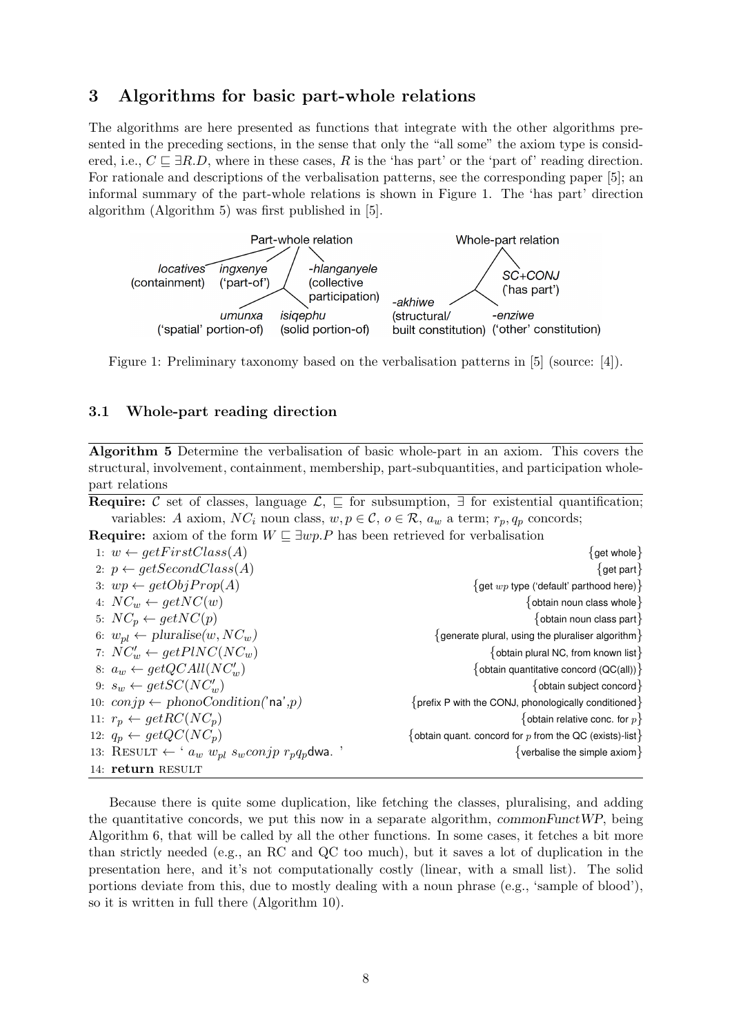## 3 Algorithms for basic part-whole relations

The algorithms are here presented as functions that integrate with the other algorithms presented in the preceding sections, in the sense that only the "all some" the axiom type is considered, i.e.,  $C \sqsubset \exists R.D$ , where in these cases, R is the 'has part' or the 'part of' reading direction. For rationale and descriptions of the verbalisation patterns, see the corresponding paper [5]; an informal summary of the part-whole relations is shown in Figure 1. The 'has part' direction algorithm (Algorithm 5) was first published in [5].



Figure 1: Preliminary taxonomy based on the verbalisation patterns in [5] (source: [4]).

#### 3.1 Whole-part reading direction

Algorithm 5 Determine the verbalisation of basic whole-part in an axiom. This covers the structural, involvement, containment, membership, part-subquantities, and participation wholepart relations

Require: C set of classes, language  $\mathcal{L}, \sqsubseteq$  for subsumption,  $\exists$  for existential quantification; variables: A axiom,  $NC_i$  noun class,  $w, p \in \mathcal{C}$ ,  $o \in \mathcal{R}$ ,  $a_w$  a term;  $r_p, q_p$  concords;

**Require:** axiom of the form  $W \sqsubseteq \exists wp.P$  has been retrieved for verbalisation

| 1: $w \leftarrow getFirstClass(A)$                                   | $\{$ get whole $\}$                                       |
|----------------------------------------------------------------------|-----------------------------------------------------------|
| 2: $p \leftarrow getSecondClass(A)$                                  | $\{$ get part $\}$                                        |
| 3: $wp \leftarrow getObjProp(A)$                                     | $\{$ get $wp$ type ('default' parthood here) $\}$         |
| 4: $NC_w \leftarrow getNC(w)$                                        | $\{$ obtain noun class whole $\}$                         |
| 5: $NC_p \leftarrow getNC(p)$                                        | $\{$ obtain noun class part $\}$                          |
| 6: $w_{pl} \leftarrow \text{pluralise}(w, NC_w)$                     | $\{$ generate plural, using the pluraliser algorithm $\}$ |
| 7: $NC_w' \leftarrow getPINC(NC_w)$                                  | $\{$ obtain plural NC, from known list $\}$               |
| 8: $a_w \leftarrow getQCAll(NC_w')$                                  | {obtain quantitative concord (QC(all)) }                  |
| 9: $s_w \leftarrow getSC(NC'_w)$                                     | {obtain subject concord}                                  |
| 10: $conjp \leftarrow phonoCondition('na',p)$                        | {prefix P with the CONJ, phonologically conditioned}      |
| 11: $r_p \leftarrow getRC(NC_p)$                                     | {obtain relative conc. for $p$ }                          |
| 12: $q_p \leftarrow getQC(NC_p)$                                     | {obtain quant. concord for $p$ from the QC (exists)-list} |
| 13: RESULT $\leftarrow$ ' $a_w$ $w_{pl}$ $s_w$ conjp $r_p q_p$ dwa.' | {verbalise the simple axiom}                              |
| 14: return RESULT                                                    |                                                           |

Because there is quite some duplication, like fetching the classes, pluralising, and adding the quantitative concords, we put this now in a separate algorithm, commonFunctWP, being Algorithm 6, that will be called by all the other functions. In some cases, it fetches a bit more than strictly needed (e.g., an RC and QC too much), but it saves a lot of duplication in the presentation here, and it's not computationally costly (linear, with a small list). The solid portions deviate from this, due to mostly dealing with a noun phrase (e.g., 'sample of blood'), so it is written in full there (Algorithm 10).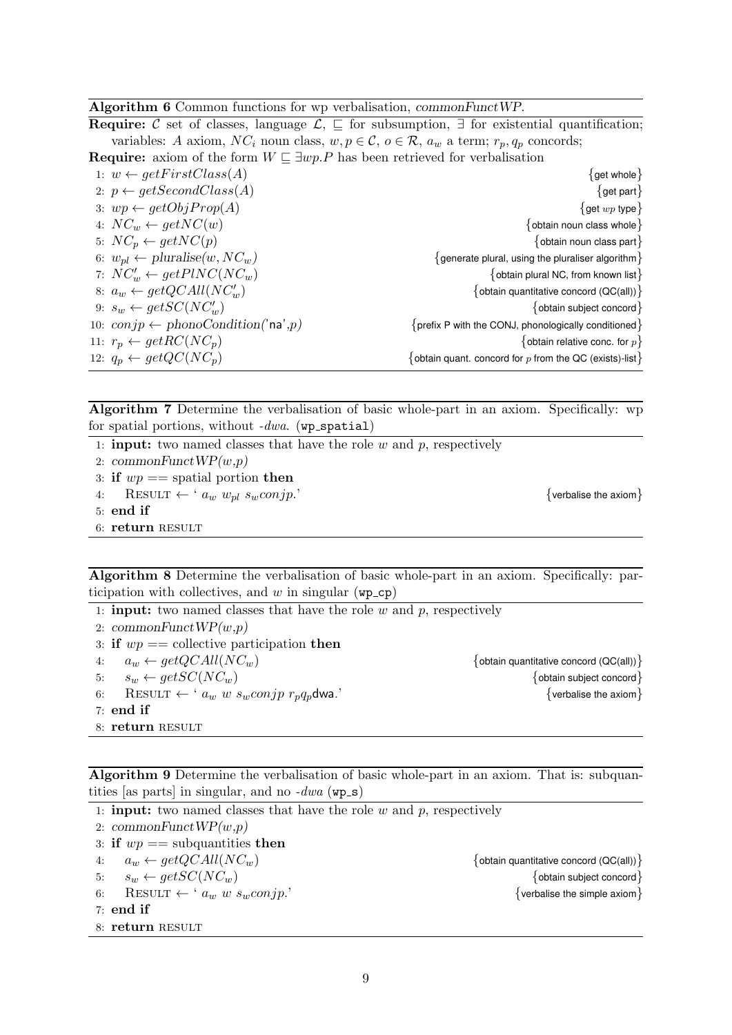#### Algorithm 6 Common functions for wp verbalisation, commonFunctWP.

Require: C set of classes, language  $\mathcal{L}, \subseteq$  for subsumption,  $\exists$  for existential quantification; variables: A axiom,  $NC_i$  noun class,  $w, p \in \mathcal{C}$ ,  $o \in \mathcal{R}$ ,  $a_w$  a term;  $r_p, q_p$  concords;

**Require:** axiom of the form  $W \sqsubseteq \exists wp.P$  has been retrieved for verbalisation

| 1: $w \leftarrow getFirstClass(A)$               | $\{$ get whole $\}$                                          |
|--------------------------------------------------|--------------------------------------------------------------|
| 2: $p \leftarrow getSecondClass(A)$              | $\{$ get part $\}$                                           |
| 3: $wp \leftarrow getObjProp(A)$                 | $\{$ get $wp$ type $\}$                                      |
| 4: $NC_w \leftarrow getNC(w)$                    | $\{$ obtain noun class whole $\}$                            |
| 5: $NC_p \leftarrow getNC(p)$                    | $\{$ obtain noun class part $\}$                             |
| 6: $w_{pl} \leftarrow \text{pluralise}(w, NC_w)$ | $\{$ generate plural, using the pluraliser algorithm $\}$    |
| 7: $NC_w' \leftarrow getPINC(NC_w)$              | $\{$ obtain plural NC, from known list $\}$                  |
| 8: $a_w \leftarrow getQCAll(NC'_w)$              | {obtain quantitative concord $(QC(all))$ }                   |
| 9: $s_w \leftarrow getSC(NC_w')$                 | $\{$ obtain subject concord $\}$                             |
| 10: $conjp \leftarrow phonoCondition('na',p)$    | $\{$ prefix P with the CONJ, phonologically conditioned $\}$ |
| 11: $r_p \leftarrow \text{getRC}(NC_p)$          | $\{$ obtain relative conc. for $p$ $\}$                      |
| 12: $q_p \leftarrow getQC(NC_p)$                 | {obtain quant. concord for $p$ from the QC (exists)-list }   |
|                                                  |                                                              |

Algorithm 7 Determine the verbalisation of basic whole-part in an axiom. Specifically: wp for spatial portions, without  $-dwa$ . (wp\_spatial)

- 1: **input:** two named classes that have the role  $w$  and  $p$ , respectively
- 2: commonFunct $WP(w,p)$
- 3: if  $wp ==$  spatial portion then
- 4: RESULT ←  $^{\circ} a_w w_{nl} s_w \text{conjp."}$  {verbalise the axiom}

5: end if

6: return RESULT

Algorithm 8 Determine the verbalisation of basic whole-part in an axiom. Specifically: participation with collectives, and w in singular  $(wp_c p)$ 

1: **input:** two named classes that have the role  $w$  and  $p$ , respectively

2:  $commonFunctWP(w,p)$ 

- 3: if  $wp ==$  collective participation then
- 4:  $a_w \leftarrow getQCAll(NC_w)$  {obtain quantitative concord (QC(all))}
- 
- 6: RESULT ← '  $a_w w s_w conjp r_p q_p$ dwa.' {verbalise the axiom}
- 7: end if
- 8: return RESULT

5:  $s_w \leftarrow getSC(NC_w)$  {obtain subject concord}

Algorithm 9 Determine the verbalisation of basic whole-part in an axiom. That is: subquantities [as parts] in singular, and no  $-dwa$  (wp\_s)

1: **input:** two named classes that have the role  $w$  and  $p$ , respectively 2:  $commonFuncWP(w,p)$ 3: if  $wp ==$  subquantities then 4:  $a_w \leftarrow getQCAll(NC_w)$  {obtain quantitative concord (QC(all))} 5:  $s_w \leftarrow getSC(NC_w)$  {obtain subject concord} 6: RESULT ← '  $a_w w s_w conjp$ .' {verbalise the simple axiom} 7: end if 8: return RESULT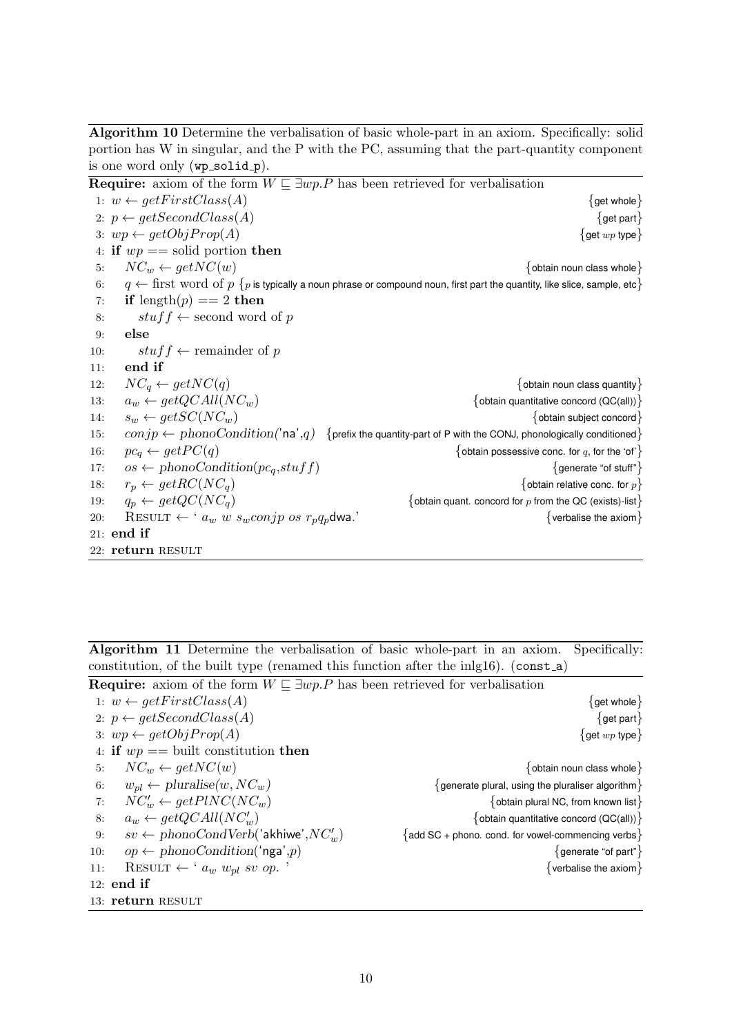Algorithm 10 Determine the verbalisation of basic whole-part in an axiom. Specifically: solid portion has W in singular, and the P with the PC, assuming that the part-quantity component is one word only  $(wp\_solid\_p)$ .

|     |                                                              | <b>Require:</b> axiom of the form $W \sqsubseteq \exists wp.P$ has been retrieved for verbalisation                                        |
|-----|--------------------------------------------------------------|--------------------------------------------------------------------------------------------------------------------------------------------|
|     | 1: $w \leftarrow getFirstClass(A)$                           | $\{$ get whole $\}$                                                                                                                        |
|     | 2: $p \leftarrow getSecondClass(A)$                          | $\{$ get part $\}$                                                                                                                         |
|     | 3: $wp \leftarrow getObjProp(A)$                             | $\{$ get $wp$ type $\}$                                                                                                                    |
|     | 4: if $wp ==$ solid portion then                             |                                                                                                                                            |
| 5:  | $NC_w \leftarrow getNC(w)$                                   | $\{$ obtain noun class whole $\}$                                                                                                          |
| 6:  |                                                              | $q \leftarrow$ first word of $p \{p \text{ is typically a noun phrase or compound noun, first part the quantity, like slice, sample, etc}$ |
| 7:  | if length $(p) == 2$ then                                    |                                                                                                                                            |
| 8:  | $\text{stuff} \leftarrow$ second word of p                   |                                                                                                                                            |
| 9:  | else                                                         |                                                                                                                                            |
| 10: | $\textit{stuff} \leftarrow$ remainder of p                   |                                                                                                                                            |
| 11: | end if                                                       |                                                                                                                                            |
| 12: | $NC_a \leftarrow getNC(q)$                                   | $\{$ obtain noun class quantity $\}$                                                                                                       |
| 13: | $a_w \leftarrow getQCAll(NC_w)$                              | {obtain quantitative concord $(QC(all))$ }                                                                                                 |
| 14: | $s_w \leftarrow getSC(NC_w)$                                 | $\{$ obtain subject concord $\}$                                                                                                           |
| 15: |                                                              | $conjp \leftarrow phonoCondition('na',q)$ {prefix the quantity-part of P with the CONJ, phonologically conditioned}                        |
| 16: | $pc_q \leftarrow getPC(q)$                                   | {obtain possessive conc. for q, for the 'of' }                                                                                             |
| 17: | $os \leftarrow phonoCondition(p_{c_q}, stufff)$              | $\{$ generate "of stuff" $\}$                                                                                                              |
| 18: | $r_p \leftarrow getRC(NC_q)$                                 | {obtain relative conc. for $p$ }                                                                                                           |
| 19: | $q_p \leftarrow getQC(NC_q)$                                 | {obtain quant. concord for $p$ from the QC (exists)-list}                                                                                  |
| 20: | RESULT $\leftarrow$ ' $a_w$ w $s_w$ conjp os $r_p q_p$ dwa.' | $\{$ verbalise the axiom $\}$                                                                                                              |
|     | $21:$ end if                                                 |                                                                                                                                            |
|     | 22: return RESULT                                            |                                                                                                                                            |

Algorithm 11 Determine the verbalisation of basic whole-part in an axiom. Specifically: constitution, of the built type (renamed this function after the inlg16). (const a)

| <b>Require:</b> axiom of the form $W \sqsubseteq \exists wp.P$ has been retrieved for verbalisation |                                                            |  |  |  |
|-----------------------------------------------------------------------------------------------------|------------------------------------------------------------|--|--|--|
| 1: $w \leftarrow getFirstClass(A)$                                                                  | $\{$ get whole $\}$                                        |  |  |  |
| 2: $p \leftarrow getSecondClass(A)$                                                                 | $\{$ get part $\}$                                         |  |  |  |
| 3: $wp \leftarrow getObjProp(A)$                                                                    | $\{$ get $wp$ type $\}$                                    |  |  |  |
| 4: if $wp ==$ built constitution then                                                               |                                                            |  |  |  |
| $NC_w \leftarrow getNC(w)$<br>5:                                                                    | $\{$ obtain noun class whole $\}$                          |  |  |  |
| $w_{pl} \leftarrow \text{pluralise}(w, NC_w)$<br>6:                                                 | $\{$ generate plural, using the pluraliser algorithm $\}$  |  |  |  |
| $NC_w' \leftarrow getPINC(NC_w)$<br>7:                                                              | $\{$ obtain plural NC, from known list $\}$                |  |  |  |
| $a_w \leftarrow getQCAll(NC_w')$<br>8:                                                              | {obtain quantitative concord (QC(all)) $\}$                |  |  |  |
| $sv \leftarrow phonoCondVerb('akhiwe', NC'_w)$<br>9:                                                | $\{$ add SC + phono. cond. for vowel-commencing verbs $\}$ |  |  |  |
| $op \leftarrow phonoCondition('nga',p)$<br>10:                                                      | $\{$ generate "of part" $\}$                               |  |  |  |
| RESULT $\leftarrow$ ' $a_w w_{pl}$ sv op.<br>11:                                                    | $\{$ verbalise the axiom $\}$                              |  |  |  |
| $12:$ end if                                                                                        |                                                            |  |  |  |
| 13: return RESULT                                                                                   |                                                            |  |  |  |
|                                                                                                     |                                                            |  |  |  |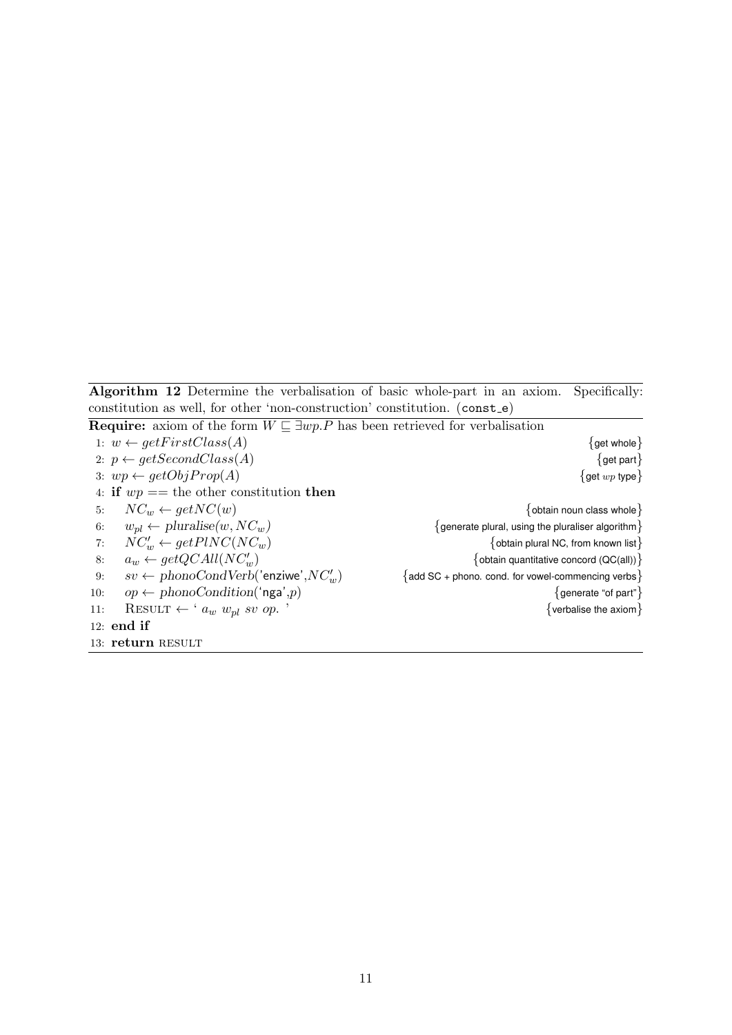Algorithm 12 Determine the verbalisation of basic whole-part in an axiom. Specifically: constitution as well, for other 'non-construction' constitution. (const e)

| <b>Require:</b> axiom of the form $W \sqsubseteq \exists w p.P$ has been retrieved for verbalisation |                                                            |
|------------------------------------------------------------------------------------------------------|------------------------------------------------------------|
| 1: $w \leftarrow getFirstClass(A)$                                                                   | $\{$ get whole $\}$                                        |
| 2: $p \leftarrow getSecondClass(A)$                                                                  | $\{$ get part $\}$                                         |
| 3: $wp \leftarrow getObjProp(A)$                                                                     | $\{$ get $wp$ type $\}$                                    |
| 4: if $wp ==$ the other constitution then                                                            |                                                            |
| $NC_w \leftarrow getNC(w)$<br>5:                                                                     | $\{$ obtain noun class whole $\}$                          |
| $w_{pl} \leftarrow \text{pluralise}(w, NC_w)$<br>6:                                                  | $\{$ generate plural, using the pluraliser algorithm $\}$  |
| $NC_w' \leftarrow getPINC(NC_w)$<br>7:                                                               | $\{$ obtain plural NC, from known list $\}$                |
| $a_w \leftarrow getQCAll(NC_w')$<br>8:                                                               | {obtain quantitative concord $(QC(all))$ }                 |
| $sv \leftarrow phonoCondVerb('$ enziwe', $NC'_w$ )<br>9:                                             | $\{$ add SC + phono. cond. for vowel-commencing verbs $\}$ |
| $op \leftarrow phonoCondition('nga',p)$<br>10:                                                       | $\{$ generate "of part" $\}$                               |
| RESULT $\leftarrow$ ' $a_w w_{pl}$ sv op.'<br>11:                                                    | $\{$ verbalise the axiom $\}$                              |
| $12:$ end if                                                                                         |                                                            |
| 13: return RESULT                                                                                    |                                                            |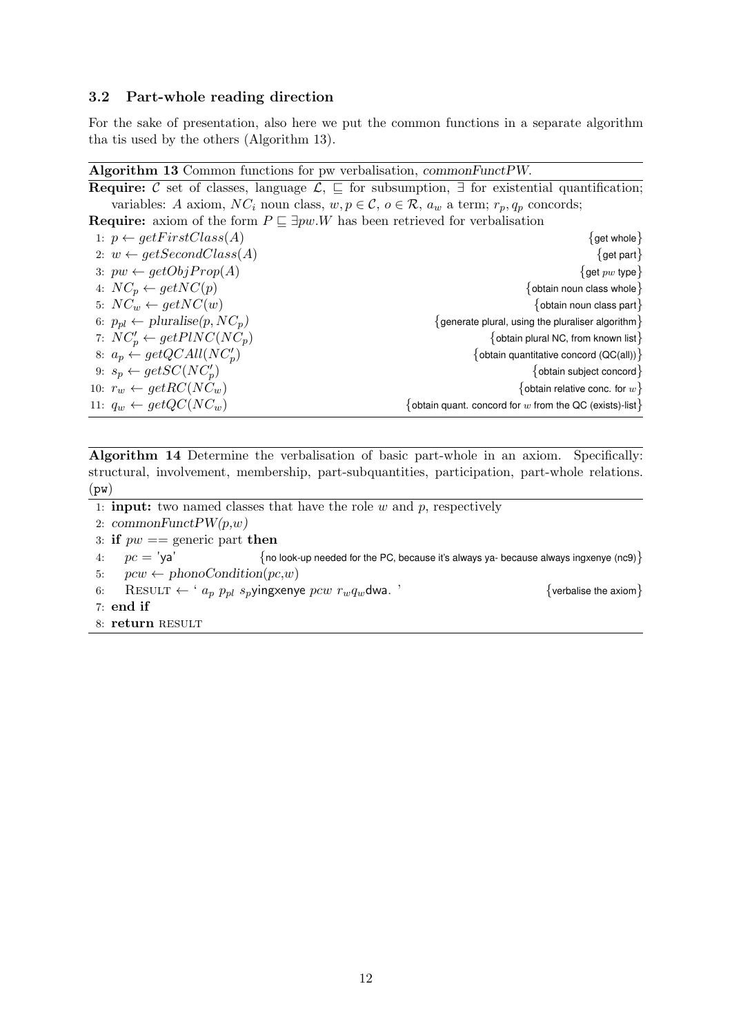### 3.2 Part-whole reading direction

For the sake of presentation, also here we put the common functions in a separate algorithm tha tis used by the others (Algorithm 13).

### Algorithm 13 Common functions for pw verbalisation, commonFunctPW.

| <b>Require:</b> C set of classes, language $\mathcal{L}$ , $\sqsubseteq$ for subsumption, $\exists$ for existential quantification; |  |  |  |  |
|-------------------------------------------------------------------------------------------------------------------------------------|--|--|--|--|
| variables: A axiom, NC <sub>i</sub> noun class, $w, p \in \mathcal{C}$ , $o \in \mathcal{R}$ , $a_w$ a term; $r_p, q_p$ concords;   |  |  |  |  |
| <b>Require:</b> axiom of the form $P \sqsubseteq \exists pw.W$ has been retrieved for verbalisation                                 |  |  |  |  |
| $\{$ get whole $\}$                                                                                                                 |  |  |  |  |
| $\{$ get part $\}$                                                                                                                  |  |  |  |  |
| $\{$ get $pw$ type $\}$                                                                                                             |  |  |  |  |
| $\{$ obtain noun class whole $\}$                                                                                                   |  |  |  |  |
| $\{$ obtain noun class part $\}$                                                                                                    |  |  |  |  |
| $\{$ generate plural, using the pluraliser algorithm $\}$                                                                           |  |  |  |  |
| $\{$ obtain plural NC, from known list $\}$                                                                                         |  |  |  |  |
| {obtain quantitative concord (QC(all)) }                                                                                            |  |  |  |  |
| {obtain subject concord}                                                                                                            |  |  |  |  |
| {obtain relative conc. for $w$ }                                                                                                    |  |  |  |  |
| $\{$ obtain quant. concord for $w$ from the QC (exists)-list $\}$                                                                   |  |  |  |  |
|                                                                                                                                     |  |  |  |  |

Algorithm 14 Determine the verbalisation of basic part-whole in an axiom. Specifically: structural, involvement, membership, part-subquantities, participation, part-whole relations.  $(pw)$ 

- 1: **input:** two named classes that have the role  $w$  and  $p$ , respectively
- 2:  $commonFuncPW(p,w)$
- 3: if  $pw ==$  generic part then
- 4:  $pc = 'ya'$  {no look-up needed for the PC, because it's always ya- because always ingxenye (nc9)}
- 5:  $pcw \leftarrow phonoCondition(pc,w)$
- 6: RESULT ← '  $a_p$   $p_{pl}$   $s_p$ yingxenye  $pcw$   $r_wq_w$ dwa. ' {verbalise the axiom} 7: end if
- 8: return RESULT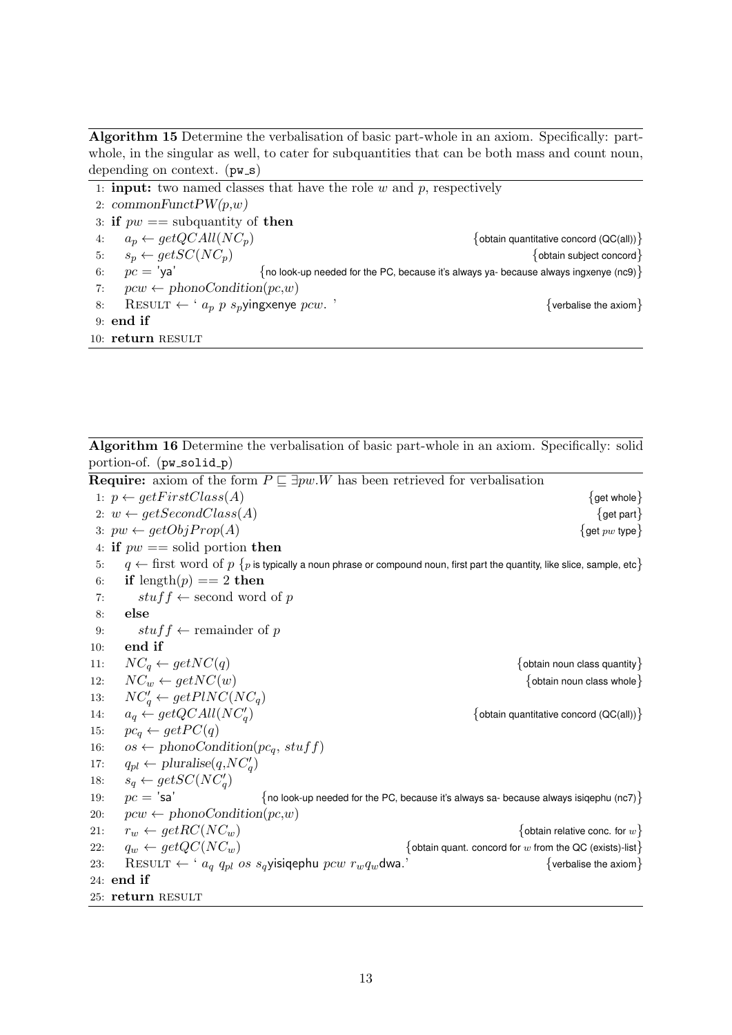Algorithm 15 Determine the verbalisation of basic part-whole in an axiom. Specifically: partwhole, in the singular as well, to cater for subquantities that can be both mass and count noun, depending on context.  $(pw_s)$ 

1: **input:** two named classes that have the role  $w$  and  $p$ , respectively 2: commonFunct $PW(p,w)$ 3: if  $pw ==$  subquantity of then 4:  $a_p \leftarrow getQCAll(NC_p)$  {obtain quantitative concord (QC(all))} 5:  $s_p \leftarrow getSC(NC_p)$  {obtain subject concord} 6:  $pc = 'ya'$  {no look-up needed for the PC, because it's always ya- because always ingxenye (nc9) { 7:  $pcw \leftarrow phonoCondition(pc,w)$ 8: RESULT ←  $a_p p s_p$ yingxenye pcw. ' {verbalise the axiom}  $9:$  end if 10: return RESULT

Algorithm 16 Determine the verbalisation of basic part-whole in an axiom. Specifically: solid portion-of. (pw\_solid\_p)

**Require:** axiom of the form  $P \subseteq \exists pw.W$  has been retrieved for verbalisation

1:  $p \leftarrow getFirstClass(A)$  {get whole } 2:  $w \leftarrow getSecondClass(A)$  {get part} 3:  $pw \leftarrow getObjProp(A)$  {get pw type} 4: if  $pw ==$  solid portion then 5:  $q \leftarrow$  first word of  $p \{p \text{ is typically a noun phrase or compound noun, first part the quantity, like slice, sample, etc.}$ 6: if length $(p) == 2$  then 7:  $\qquad \qquad \text{stuff} \leftarrow \text{second word of } p$ 8: else 9:  $\qquad \qquad \text{stuff} \leftarrow \text{remainder of } p$ 10: end if 11:  $NC_q \leftarrow getNC(q)$  {obtain noun class quantity} 12:  $NC_w \leftarrow getNC(w)$  {obtain noun class whole} 13:  $NC'_q \leftarrow getPINC(NC_q)$ 14:  $a_q \leftarrow getQCAll(NC_q)$ {obtain quantitative concord  $(QC(all))$ } 15:  $pc_q \leftarrow getPC(q)$ 16:  $os \leftarrow phonoCondition(p_{c_q}, stufff)$ 17:  $q_{pl} \leftarrow \text{pluralise}(q, NC_q')$ 18:  $s_q \leftarrow getSC(NC'_q)$ 19:  $pc = 'sa'$   $\{no$  look-up needed for the PC, because it's always sa- because always isigephu (nc7) 20:  $pcw \leftarrow phonoCondition(pc,w)$ 21:  $r_w \leftarrow getRC(NC_w)$  {obtain relative conc. for w} 22:  $q_w \leftarrow getQC(NC_w)$  {obtain quant. concord for w from the QC (exists)-list} 23: RESULT ← '  $a_q q_{pl}$  os  $s_q$ yisiqephu  $pcw r_w q_w$ dwa.' {verbalise the axiom} 24: end if 25: return RESULT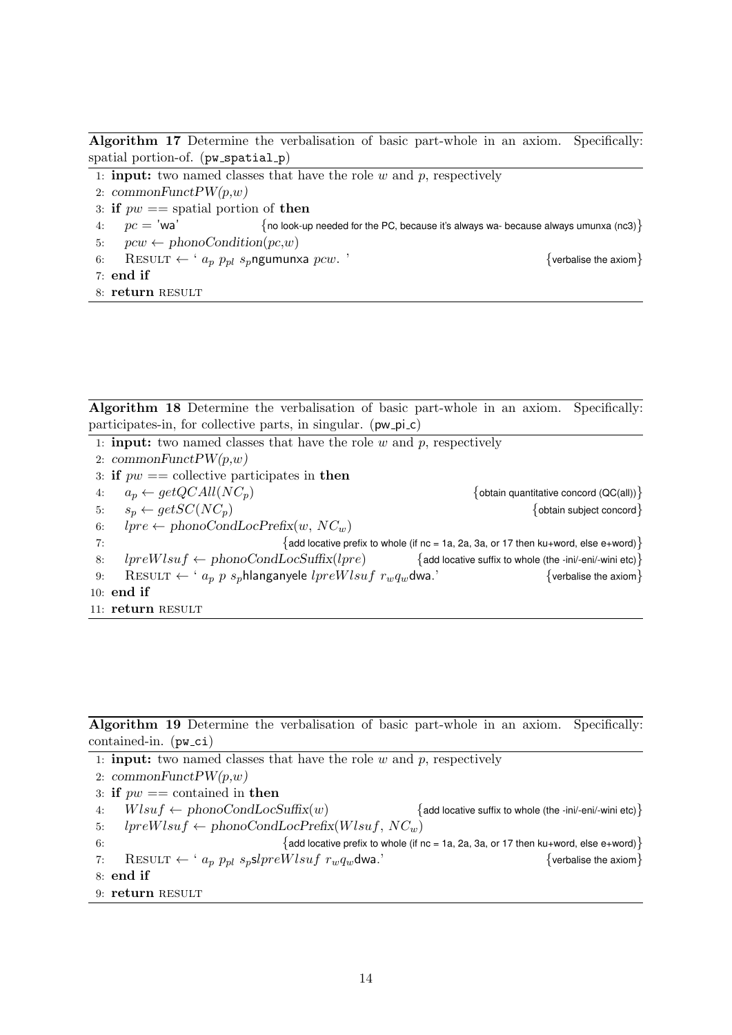Algorithm 17 Determine the verbalisation of basic part-whole in an axiom. Specifically: spatial portion-of. (pw\_spatial\_p)

- 1: **input:** two named classes that have the role  $w$  and  $p$ , respectively
- 2: commonFunct $PW(p,w)$
- 3: if  $pw ==$  spatial portion of then
- 4:  $pc = 'wa'$  {no look-up needed for the PC, because it's always wa- because always umunxa (nc3)}
- 5:  $pcw \leftarrow phonoCondition(pc,w)$
- 6: RESULT ←  $a_p$   $p_{pl}$   $s_p$ ngumunxa  $pcw$ . '  $\{$  verbalise the axiom}
- 7: end if
- 8: return RESULT

Algorithm 18 Determine the verbalisation of basic part-whole in an axiom. Specifically: participates-in, for collective parts, in singular. (pw\_pi\_c)

|    | 1: <b>input:</b> two named classes that have the role $w$ and $p$ , respectively                                                        |
|----|-----------------------------------------------------------------------------------------------------------------------------------------|
|    | 2: commonFunct $PW(p,w)$                                                                                                                |
|    | 3: if $pw ==$ collective participates in then                                                                                           |
| 4: | $a_p \leftarrow getQCAll(NC_p)$<br>{obtain quantitative concord $(QC(all))$ }                                                           |
| 5: | $s_n \leftarrow getSC(NC_n)$<br>{obtain subject concord}                                                                                |
| 6: | $lpre \leftarrow phonoCondLocPrefix(w, NC_w)$                                                                                           |
| 7: | $\{$ add locative prefix to whole (if nc = 1a, 2a, 3a, or 17 then ku+word, else e+word) $\}$                                            |
| 8: | $lpreWlsuf \leftarrow phonoCondLocSuffix(lpre)$<br>$\{$ add locative suffix to whole (the -ini/-eni/-wini etc) $\}$                     |
| 9: | RESULT $\leftarrow$ ' $a_p$ p s <sub>p</sub> hlanganyele lpreWlsuf r <sub>w</sub> q <sub>w</sub> dwa.'<br>$\{$ verbalise the axiom $\}$ |
|    | 10: end if                                                                                                                              |
|    | 11: return RESULT                                                                                                                       |

Algorithm 19 Determine the verbalisation of basic part-whole in an axiom. Specifically: contained-in.  $(pw_cci)$ 

1: **input:** two named classes that have the role  $w$  and  $p$ , respectively 2: commonFunct $PW(p,w)$ 3: if  $pw ==$  contained in then 4:  $Wlsuf \leftarrow phonoCondLocSuffix(w)$  {add locative suffix to whole (the -ini/-eni/-wini etc)} 5:  $lpreWlsuf \leftarrow phonoCondLocPrefix(Wlsuf, NC_w)$ 6:  ${add$  locative prefix to whole (if nc = 1a, 2a, 3a, or 17 then ku+word, else e+word)  $}$ 7: RESULT ← '  $a_p$   $p_{pl}$   $s_p$ sl $preWlsuf$   $r_wq_w$ dwa.' {verbalise the axiom} 8: end if 9: return RESULT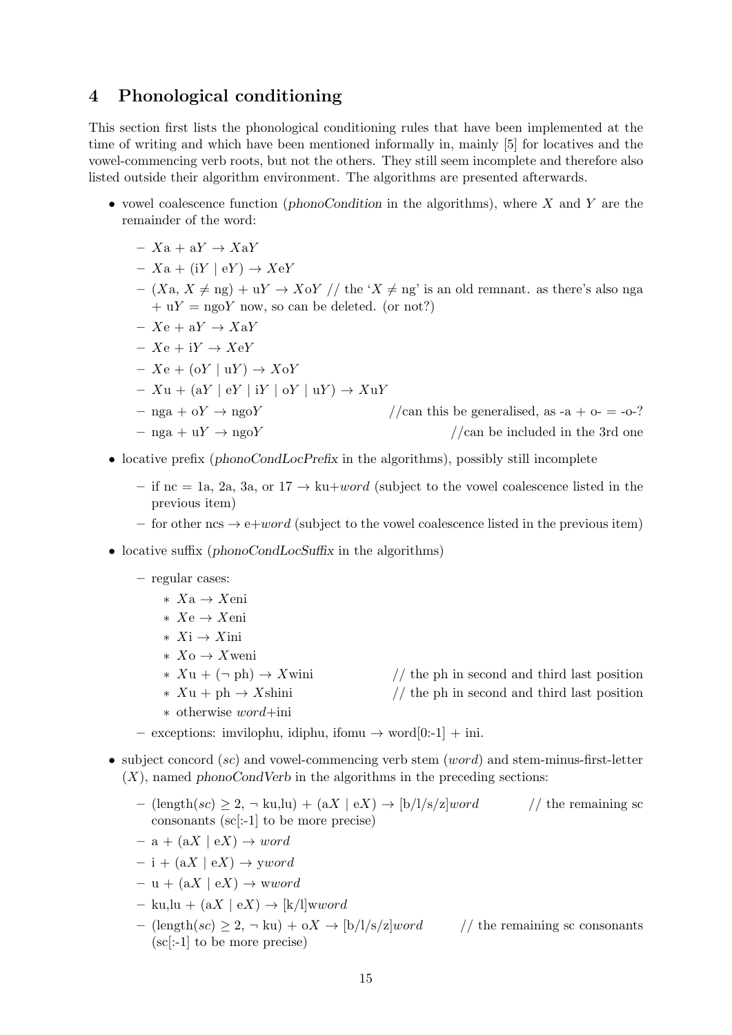## 4 Phonological conditioning

This section first lists the phonological conditioning rules that have been implemented at the time of writing and which have been mentioned informally in, mainly [5] for locatives and the vowel-commencing verb roots, but not the others. They still seem incomplete and therefore also listed outside their algorithm environment. The algorithms are presented afterwards.

- vowel coalescence function (*phonoCondition* in the algorithms), where  $X$  and  $Y$  are the remainder of the word:
	- $Xa + aY \rightarrow XaY$
	- $Xa + (iY \mid eY) \rightarrow XeY$
	- $(Xa, X \neq ng) + uY \rightarrow XoY$  // the 'X  $\neq ng$ ' is an old remnant. as there's also nga  $+ uY = ngoY$  now, so can be deleted. (or not?)
	- $Xe + aY \rightarrow XaY$
	- $Xe + iY \rightarrow XeY$
	- $Xe + (oY | uY) \rightarrow XoY$
	- $Xu + (aY \mid eY \mid iY \mid oY \mid uY) \rightarrow XuY$
	- $-$  nga + oY  $\rightarrow$  ngoY //can this be generalised, as -a + o- = -o-?

$$
-\text{ nga} + \text{u}Y \rightarrow \text{ngo}Y
$$
  $//\text{can be included in the 3rd one}$ 

- locative prefix (phonoCondLocPrefix in the algorithms), possibly still incomplete
	- if nc = 1a, 2a, 3a, or  $17 \rightarrow$  ku+word (subject to the vowel coalescence listed in the previous item)
	- for other ncs  $\rightarrow$  e+word (subject to the vowel coalescence listed in the previous item)
- locative suffix (phonoCondLocSuffix in the algorithms)
	- regular cases:
		- ∗ Xa → Xeni
		- ∗ Xe → Xeni
		- ∗ Xi → Xini
		- ∗ Xo → Xweni
		-
		- $\star X\mathbf{u} + \mathbf{ph} \to X\text{shini}$  // the ph in second and third last position
		- ∗ otherwise word+ini
		- $\star$  Xu + (¬ ph)  $\to$  Xwini // the ph in second and third last position
			-
	- exceptions: imvilophu, idiphu, ifomu → word[0:-1] + ini.
- subject concord  $(sc)$  and vowel-commencing verb stem  $(word)$  and stem-minus-first-letter  $(X)$ , named phonoCondVerb in the algorithms in the preceding sections:
	- (length(sc)  $\geq 2$ ,  $\neg$  ku,lu) + (aX | eX)  $\rightarrow$  [b/l/s/z]word // the remaining sc consonants (sc[:-1] to be more precise)
	- $a + (aX \mid eX) \rightarrow word$
	- $i + (aX \mid eX) \rightarrow yword$
	- $u + (aX \mid eX) \rightarrow wword$
	- $-$  ku,lu + (aX | eX)  $\rightarrow$  [k/l]wword
	- (length(sc)  $\geq 2$ ,  $\neg$  ku) + oX  $\rightarrow$  [b/l/s/z]word // the remaining sc consonants (sc[:-1] to be more precise)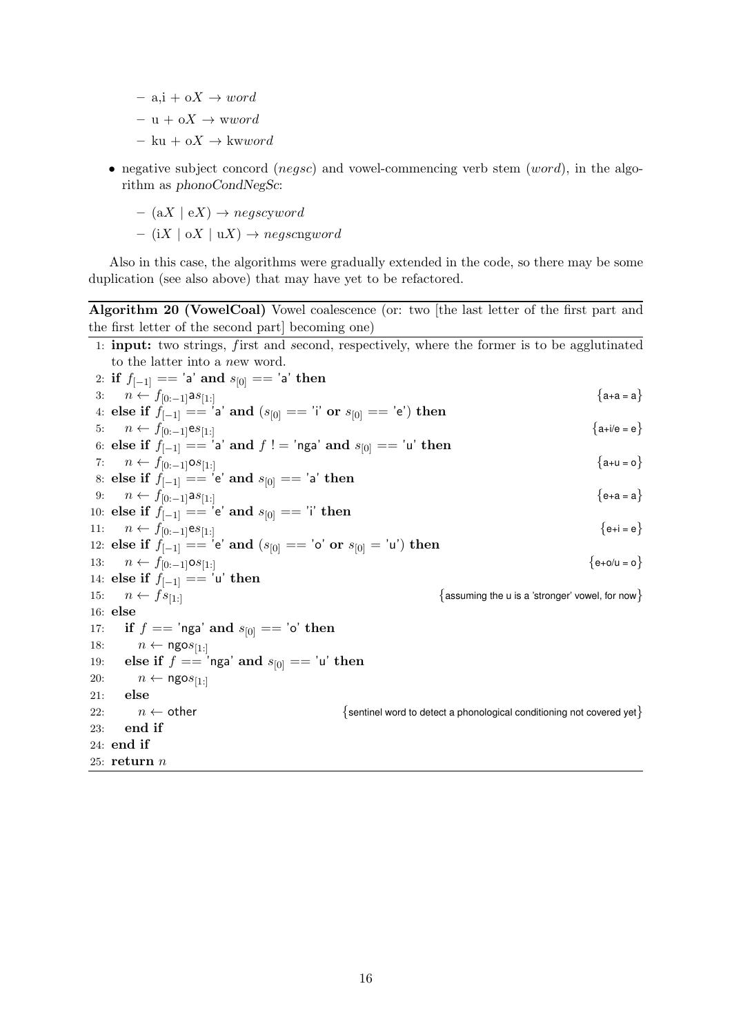$-$  a,i + oX  $\rightarrow$  word

 $- u + oX \rightarrow$  wword

- ku + o $X \rightarrow$  kwword
- negative subject concord (*negsc*) and vowel-commencing verb stem (*word*), in the algorithm as phonoCondNegSc:
	- $(aX \mid eX) \rightarrow negscyword$

 $-$  (iX | oX | uX)  $\rightarrow$  negscngword

Also in this case, the algorithms were gradually extended in the code, so there may be some duplication (see also above) that may have yet to be refactored.

Algorithm 20 (VowelCoal) Vowel coalescence (or: two [the last letter of the first part and the first letter of the second part] becoming one)

|     | 1: <b>input:</b> two strings, first and second, respectively, where the former is to be agglutinated |                                                                               |
|-----|------------------------------------------------------------------------------------------------------|-------------------------------------------------------------------------------|
|     | to the latter into a new word.                                                                       |                                                                               |
|     | 2: if $f_{[-1]} == 'a'$ and $s_{[0]} == 'a'$ then                                                    |                                                                               |
|     | 3: $n \leftarrow f_{[0:-1]}as_{[1:]}$                                                                | ${a+a = a}$                                                                   |
|     | 4: else if $f_{[-1]} == 'a'$ and $(s_{[0]} == 'i'$ or $s_{[0]} == 'e')$ then                         |                                                                               |
|     | 5: $n \leftarrow f_{[0:-1]}es_{[1:]}$                                                                | ${a+i/e = e}$                                                                 |
|     | 6: else if $f_{[-1]} = -i$ a' and $f :=$ 'nga' and $s_{[0]} = -i$ ' then                             | ${a+u = o}$                                                                   |
|     | 7: $n \leftarrow f_{[0:-1]} \circ s_{[1:]}$                                                          |                                                                               |
|     | 8: else if $f_{[-1]} == 'e'$ and $s_{[0]} == 'a'$ then                                               |                                                                               |
|     | 9: $n \leftarrow f_{[0:-1]}as_{[1:]}$                                                                | ${e+a=a}$                                                                     |
|     | 10: else if $f_{[-1]} == 'e'$ and $s_{[0]} == 'i'$ then                                              |                                                                               |
|     | 11: $n \leftarrow f_{[0:-1]}es_{[1:]}$                                                               | $\{e+i = e\}$                                                                 |
|     | 12: else if $f_{[-1]} == 'e'$ and $(s_{[0]} == 'o'$ or $s_{[0]} = 'u')$ then                         | ${e+o/u = o}$                                                                 |
| 13: | $n \leftarrow f_{[0:-1]} \text{os}_{[1:]}$                                                           |                                                                               |
|     | 14: else if $f_{[-1]} == 'u'$ then                                                                   |                                                                               |
|     | 15: $n \leftarrow fs_{[1:]}$                                                                         | $\{$ assuming the u is a 'stronger' vowel, for now $\}$                       |
|     | $16:$ else                                                                                           |                                                                               |
|     | 17: if $f == '$ nga' and $s_{[0]} == '$ o' then                                                      |                                                                               |
| 18: | $n \leftarrow \text{ngos}_{[1:]}$                                                                    |                                                                               |
|     | 19: else if $f == '$ nga' and $s_{[0]} == '$ u' then                                                 |                                                                               |
| 20: | $n \leftarrow \text{ngos}_{[1:]}$                                                                    |                                                                               |
| 21: | else                                                                                                 |                                                                               |
| 22: | $n \leftarrow$ other                                                                                 | $\{$ sentinel word to detect a phonological conditioning not covered yet $\}$ |
| 23: | end if                                                                                               |                                                                               |
|     | $24:$ end if                                                                                         |                                                                               |
|     | 25: return $n$                                                                                       |                                                                               |
|     |                                                                                                      |                                                                               |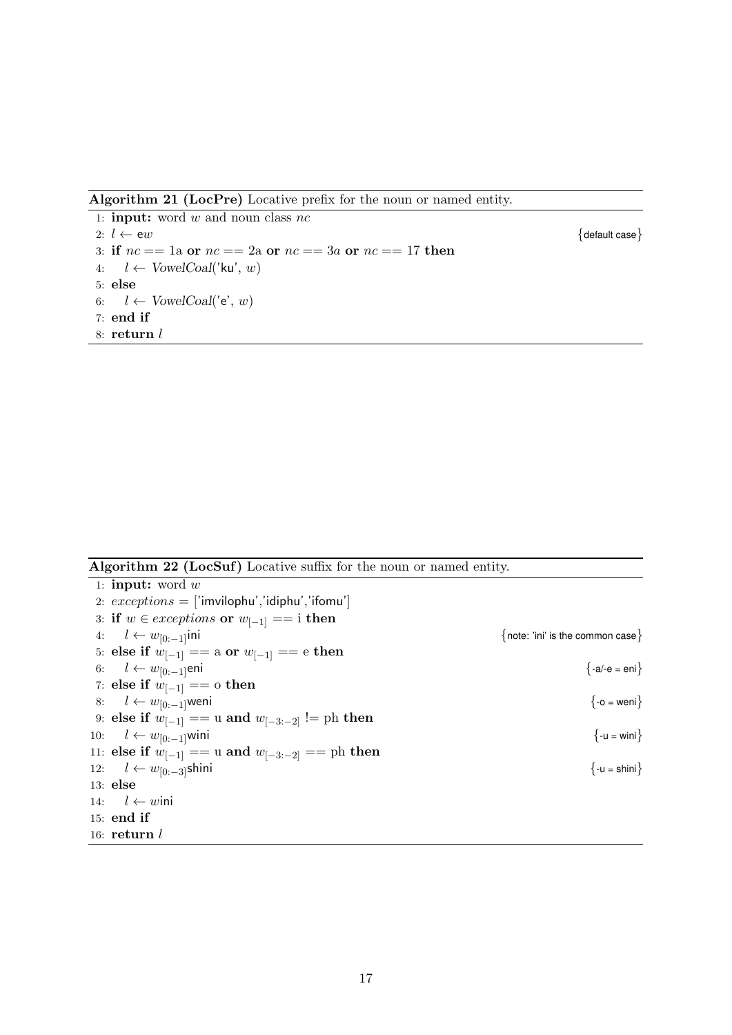Algorithm 21 (LocPre) Locative prefix for the noun or named entity.

1: **input:** word  $w$  and noun class  $nc$ 2:  $l \leftarrow ew$  {default case} 3: if  $nc == 1$  or  $nc == 2$  or  $nc == 3a$  or  $nc == 17$  then 4:  $l \leftarrow VowelCoal('ku', w)$ 5: else 6:  $l \leftarrow \text{VowelCoal}('e', w)$ 7: end if 8: return l

Algorithm 22 (LocSuf) Locative suffix for the noun or named entity.

1: **input:** word  $w$ 2:  $exceptions = ['imvilophu', 'idiphu', 'ifomu']$ 3: if  $w \in$  *exceptions* or  $w_{[-1]} == i$  then 4:  $l \leftarrow w_{[0:-1]}$ ini {note: 'ini' is the common case} 5: else if  $w_{[-1]} ==$  a or  $w_{[-1]} ==$  e then 6:  $l \leftarrow w_{[0:-1]}$ eni {-a/-e = eni} 7: else if  $w_{[-1]} == \text{o}$  then 8:  $l \leftarrow w_{[0:-1]}$ weni {-o = weni} 9: else if  $w_{[-1]} == u$  and  $w_{[-3:-2]} != \text{ph}$  then 10:  $l \leftarrow w_{[0:-1]}$ wini {-u = wini} 11: else if  $w_{[-1]} == u$  and  $w_{[-3:-2]} == \text{ph}$  then 12:  $l \leftarrow w_{[0:-3]}$ shini {-u = shini} 13: else 14:  $l \leftarrow w$ ini 15: end if 16:  $return l$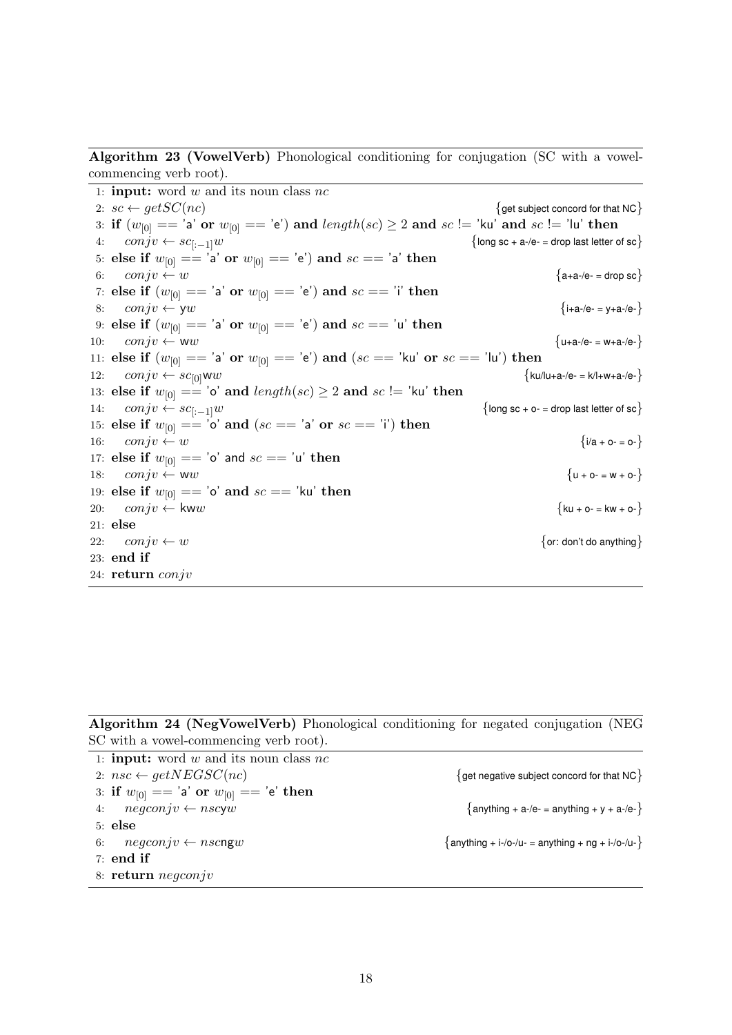Algorithm 23 (VowelVerb) Phonological conditioning for conjugation (SC with a vowelcommencing verb root).

1: **input:** word  $w$  and its noun class  $nc$ 2:  $sc \leftarrow getSC(nc)$  {get subject concord for that NC} 3: if  $(w_{[0]} == 'a'$  or  $w_{[0]} == 'e')$  and  $length(sc) \geq 2$  and  $sc != 'ku'$  and  $sc != 'lu'$  then 4:  $\text{conj } v \leftarrow \text{sc}_{[-1]}w$  {long sc + a-/e- = drop last letter of sc} 5: else if  $w_{[0]} == 'a'$  or  $w_{[0]} == 'e'$  and  $sc == 'a'$  then 6:  $\cos jv \leftarrow w$  {a+a-/e- = drop sc} 7: else if  $(w_{[0]} == 'a' \text{ or } w_{[0]} == 'e')$  and  $sc == 'i'$  then 8:  $\cos jv \leftarrow yw$  {i+a-/e- = y+a-/e-} 9: else if  $(w_{[0]} == 'a' \text{ or } w_{[0]} == 'e')$  and  $sc == 'u'$  then 10:  $\text{conj } v \leftarrow \text{w}w$  {u+a-/e- = w+a-/e-} 11: else if  $(w_{[0]} == 'a'$  or  $w_{[0]} == 'e')$  and  $(se == 'ku'$  or  $sc == 'lu')$  then 12:  $\text{conj}v \leftarrow s\text{c}_{[0]}\text{ww}$  {ku/lu+a-/e- = k/l+w+a-/e-} 13: else if  $w_{[0]} == 'o'$  and  $length(sc) \ge 2$  and  $sc != 'ku'$  then<br>14:  $conjv \leftarrow sc_{[-1]}w$ 14:  $\text{conj } v \leftarrow \text{scr}_{[-1]}w$  {long sc + o- = drop last letter of sc} 15: else if  $w_{[0]} == 'o'$  and  $(se == 'a'$  or  $sc == 'i')$  then 16:  $\cos jv \leftarrow w$  { $i/a + o = o -$ } 17: else if  $w_{[0]} == 'o'$  and  $sc == 'u'$  then 18:  $\cos jv \leftarrow WW$ <br>18:  $\{u + o = w + o\}$ 19: else if  $w_{[0]} == 'o'$  and  $sc == 'ku'$  then 20:  $\cos jv \leftarrow \text{kww}$  {ku + o- = kw + o-} 21: else 22:  $\text{conj } v \leftarrow w$  {or: don't do anything} 23: end if 24: return conjv

Algorithm 24 (NegVowelVerb) Phonological conditioning for negated conjugation (NEG SC with a vowel-commencing verb root).

| 1: <b>input:</b> word w and its noun class $nc$ |                                                          |
|-------------------------------------------------|----------------------------------------------------------|
| 2: $nsc \leftarrow getNEGSC(nc)$                | $\{$ get negative subject concord for that NC $\}$       |
| 3: if $w_{[0]} == 'a'$ or $w_{[0]} == 'e'$ then |                                                          |
| 4: $negconjv \leftarrow nscyw$                  | $\{$ anything + a-/e- = anything + y + a-/e- $\}$        |
| $5:$ else                                       |                                                          |
| 6: $negconjv \leftarrow nscngw$                 | $\{$ anything + i-/o-/u- = anything + ng + i-/o-/u- $\}$ |
| $7:$ end if                                     |                                                          |
| 8: $return negconjv$                            |                                                          |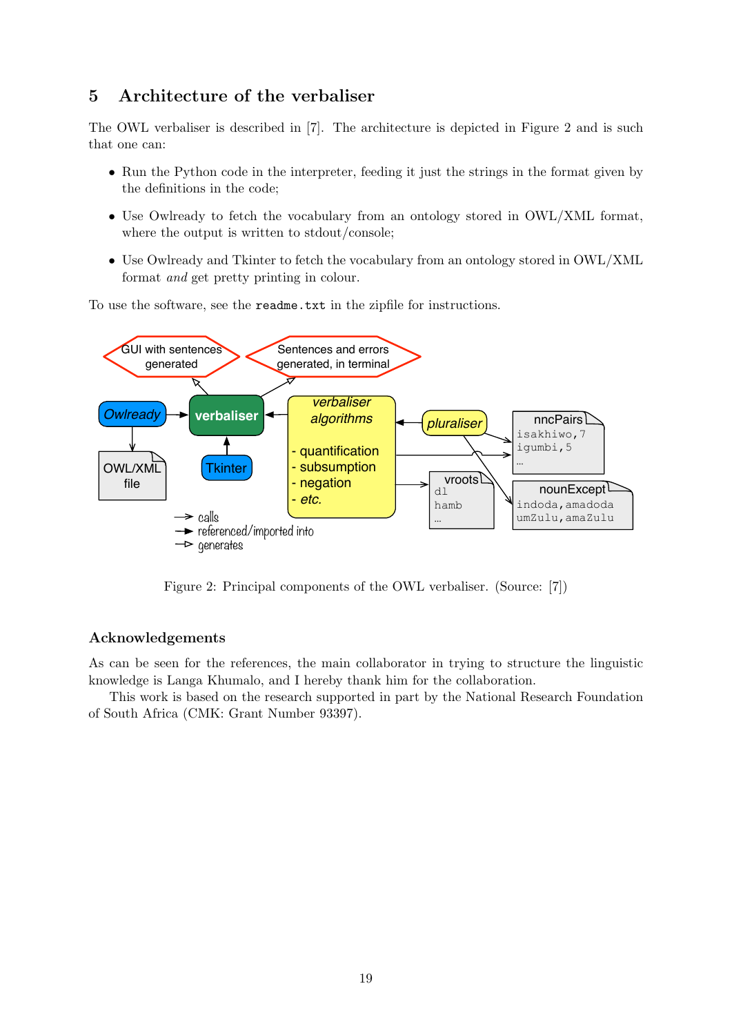## 5 Architecture of the verbaliser

The OWL verbaliser is described in [7]. The architecture is depicted in Figure 2 and is such that one can:

- Run the Python code in the interpreter, feeding it just the strings in the format given by the definitions in the code;
- Use Owlready to fetch the vocabulary from an ontology stored in OWL/XML format, where the output is written to stdout/console;
- Use Owlready and Tkinter to fetch the vocabulary from an ontology stored in OWL/XML format and get pretty printing in colour.

To use the software, see the readme.txt in the zipfile for instructions.



Figure 2: Principal components of the OWL verbaliser. (Source: [7])

#### Acknowledgements

As can be seen for the references, the main collaborator in trying to structure the linguistic knowledge is Langa Khumalo, and I hereby thank him for the collaboration.

This work is based on the research supported in part by the National Research Foundation of South Africa (CMK: Grant Number 93397).